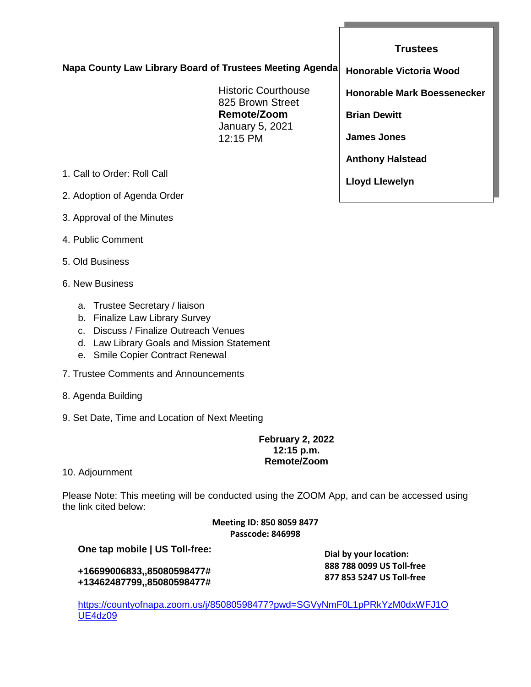**Napa County Law Library Board of Trustees Meeting Agenda**

Historic Courthouse 825 Brown Street **Remote/Zoom** January 5, 2021 12:15 PM

- 1. Call to Order: Roll Call
- 2. Adoption of Agenda Order
- 3. Approval of the Minutes
- 4. Public Comment
- 5. Old Business
- 6. New Business
	- a. Trustee Secretary / liaison
	- b. Finalize Law Library Survey
	- c. Discuss / Finalize Outreach Venues
	- d. Law Library Goals and Mission Statement
	- e. Smile Copier Contract Renewal
- 7. Trustee Comments and Announcements
- 8. Agenda Building
- 9. Set Date, Time and Location of Next Meeting

#### **February 2, 2022 12:15 p.m. Remote/Zoom**

10. Adjournment

Please Note: This meeting will be conducted using the ZOOM App, and can be accessed using the link cited below:

> **Meeting ID: 850 8059 8477 Passcode: 846998**

## **One tap mobile | US Toll-free:**

**+16699006833,,85080598477# +13462487799,,85080598477#**  **Dial by your location: 888 788 0099 US Toll-free 877 853 5247 US Toll-free**

[https://countyofnapa.zoom.us/j/85080598477?pwd=SGVyNmF0L1pPRkYzM0dxWFJ1O](https://countyofnapa.zoom.us/j/85080598477?pwd=SGVyNmF0L1pPRkYzM0dxWFJ1OUE4dz09) [UE4dz09](https://countyofnapa.zoom.us/j/85080598477?pwd=SGVyNmF0L1pPRkYzM0dxWFJ1OUE4dz09)

# **Trustees**

**Honorable Victoria Wood**

**Honorable Mark Boessenecker**

**Brian Dewitt**

**James Jones**

**Anthony Halstead**

**Lloyd Llewelyn**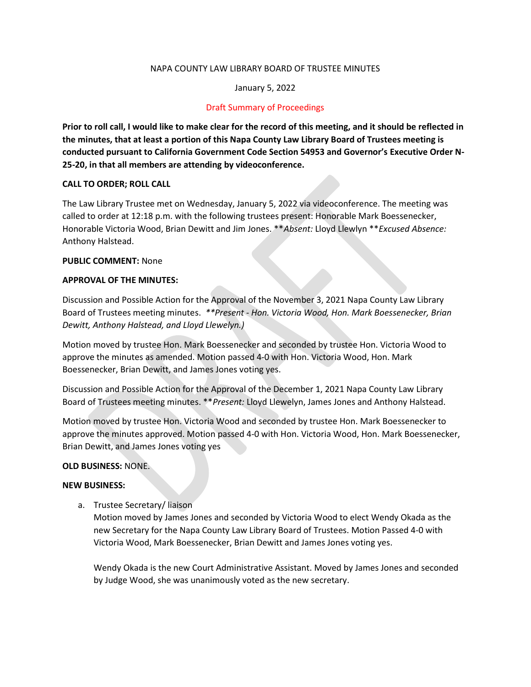#### NAPA COUNTY LAW LIBRARY BOARD OF TRUSTEE MINUTES

#### January 5, 2022

#### Draft Summary of Proceedings

Prior to roll call, I would like to make clear for the record of this meeting, and it should be reflected in the minutes, that at least a portion of this Napa County Law Library Board of Trustees meeting is conducted pursuant to California Government Code Section 54953 and Governor's Executive Order N-25-20, in that all members are attending by videoconference.

#### CALL TO ORDER; ROLL CALL

The Law Library Trustee met on Wednesday, January 5, 2022 via videoconference. The meeting was called to order at 12:18 p.m. with the following trustees present: Honorable Mark Boessenecker, Honorable Victoria Wood, Brian Dewitt and Jim Jones. \*\*Absent: Lloyd Llewlyn \*\*Excused Absence: Anthony Halstead.

#### PUBLIC COMMENT: None

#### APPROVAL OF THE MINUTES:

Discussion and Possible Action for the Approval of the November 3, 2021 Napa County Law Library Board of Trustees meeting minutes. \*\*Present - Hon. Victoria Wood, Hon. Mark Boessenecker, Brian Dewitt, Anthony Halstead, and Lloyd Llewelyn.)

Motion moved by trustee Hon. Mark Boessenecker and seconded by trustee Hon. Victoria Wood to approve the minutes as amended. Motion passed 4-0 with Hon. Victoria Wood, Hon. Mark Boessenecker, Brian Dewitt, and James Jones voting yes.

Discussion and Possible Action for the Approval of the December 1, 2021 Napa County Law Library Board of Trustees meeting minutes. \*\*Present: Lloyd Llewelyn, James Jones and Anthony Halstead.

Motion moved by trustee Hon. Victoria Wood and seconded by trustee Hon. Mark Boessenecker to approve the minutes approved. Motion passed 4-0 with Hon. Victoria Wood, Hon. Mark Boessenecker, Brian Dewitt, and James Jones voting yes

#### OLD BUSINESS: NONE.

#### NEW BUSINESS:

a. Trustee Secretary/ liaison

Motion moved by James Jones and seconded by Victoria Wood to elect Wendy Okada as the new Secretary for the Napa County Law Library Board of Trustees. Motion Passed 4-0 with Victoria Wood, Mark Boessenecker, Brian Dewitt and James Jones voting yes.

Wendy Okada is the new Court Administrative Assistant. Moved by James Jones and seconded by Judge Wood, she was unanimously voted as the new secretary.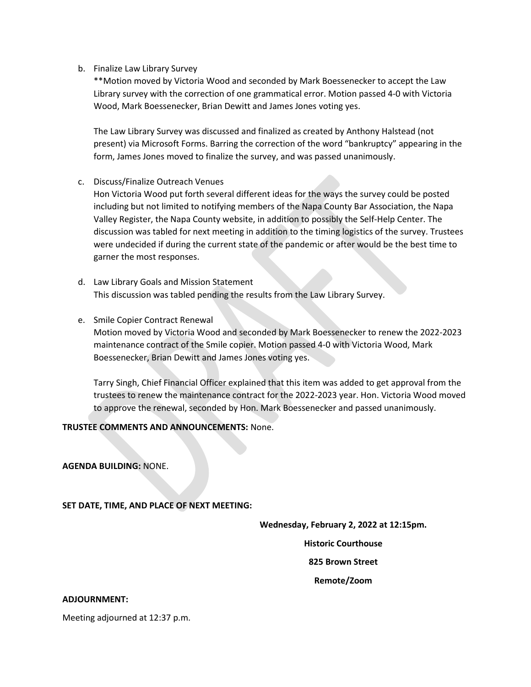### b. Finalize Law Library Survey

\*\*Motion moved by Victoria Wood and seconded by Mark Boessenecker to accept the Law Library survey with the correction of one grammatical error. Motion passed 4-0 with Victoria Wood, Mark Boessenecker, Brian Dewitt and James Jones voting yes.

The Law Library Survey was discussed and finalized as created by Anthony Halstead (not present) via Microsoft Forms. Barring the correction of the word "bankruptcy" appearing in the form, James Jones moved to finalize the survey, and was passed unanimously.

### c. Discuss/Finalize Outreach Venues

Hon Victoria Wood put forth several different ideas for the ways the survey could be posted including but not limited to notifying members of the Napa County Bar Association, the Napa Valley Register, the Napa County website, in addition to possibly the Self-Help Center. The discussion was tabled for next meeting in addition to the timing logistics of the survey. Trustees were undecided if during the current state of the pandemic or after would be the best time to garner the most responses.

- d. Law Library Goals and Mission Statement This discussion was tabled pending the results from the Law Library Survey.
- e. Smile Copier Contract Renewal

Motion moved by Victoria Wood and seconded by Mark Boessenecker to renew the 2022-2023 maintenance contract of the Smile copier. Motion passed 4-0 with Victoria Wood, Mark Boessenecker, Brian Dewitt and James Jones voting yes.

Tarry Singh, Chief Financial Officer explained that this item was added to get approval from the trustees to renew the maintenance contract for the 2022-2023 year. Hon. Victoria Wood moved to approve the renewal, seconded by Hon. Mark Boessenecker and passed unanimously.

### TRUSTEE COMMENTS AND ANNOUNCEMENTS: None.

AGENDA BUILDING: NONE.

SET DATE, TIME, AND PLACE OF NEXT MEETING:

Wednesday, February 2, 2022 at 12:15pm.

Historic Courthouse

825 Brown Street

Remote/Zoom

#### ADJOURNMENT:

Meeting adjourned at 12:37 p.m.